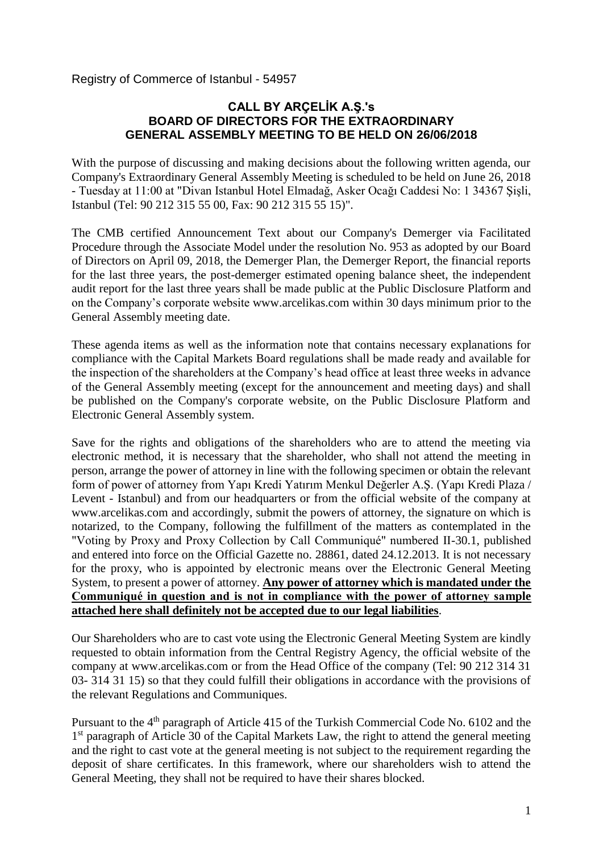Registry of Commerce of Istanbul - 54957

### **CALL BY ARÇELİK A.Ş.'s BOARD OF DIRECTORS FOR THE EXTRAORDINARY GENERAL ASSEMBLY MEETING TO BE HELD ON 26/06/2018**

With the purpose of discussing and making decisions about the following written agenda, our Company's Extraordinary General Assembly Meeting is scheduled to be held on June 26, 2018 - Tuesday at 11:00 at "Divan Istanbul Hotel Elmadağ, Asker Ocağı Caddesi No: 1 34367 Şişli, Istanbul (Tel: 90 212 315 55 00, Fax: 90 212 315 55 15)".

The CMB certified Announcement Text about our Company's Demerger via Facilitated Procedure through the Associate Model under the resolution No. 953 as adopted by our Board of Directors on April 09, 2018, the Demerger Plan, the Demerger Report, the financial reports for the last three years, the post-demerger estimated opening balance sheet, the independent audit report for the last three years shall be made public at the Public Disclosure Platform and on the Company's corporate website [www.arcelikas.com](http://www.arcelikas.com/) within 30 days minimum prior to the General Assembly meeting date.

These agenda items as well as the information note that contains necessary explanations for compliance with the Capital Markets Board regulations shall be made ready and available for the inspection of the shareholders at the Company's head office at least three weeks in advance of the General Assembly meeting (except for the announcement and meeting days) and shall be published on the Company's corporate website, on the Public Disclosure Platform and Electronic General Assembly system.

Save for the rights and obligations of the shareholders who are to attend the meeting via electronic method, it is necessary that the shareholder, who shall not attend the meeting in person, arrange the power of attorney in line with the following specimen or obtain the relevant form of power of attorney from Yapı Kredi Yatırım Menkul Değerler A.Ş. (Yapı Kredi Plaza / Levent - Istanbul) and from our headquarters or from the official website of the company at [www.arcelikas.com](http://www.arcelikas.com/) and accordingly, submit the powers of attorney, the signature on which is notarized, to the Company, following the fulfillment of the matters as contemplated in the "Voting by Proxy and Proxy Collection by Call Communiqué" numbered II-30.1, published and entered into force on the Official Gazette no. 28861, dated 24.12.2013. It is not necessary for the proxy, who is appointed by electronic means over the Electronic General Meeting System, to present a power of attorney. **Any power of attorney which is mandated under the Communiqué in question and is not in compliance with the power of attorney sample attached here shall definitely not be accepted due to our legal liabilities**.

Our Shareholders who are to cast vote using the Electronic General Meeting System are kindly requested to obtain information from the Central Registry Agency, the official website of the company at [www.arcelikas.com](http://www.arcelikas.com/) or from the Head Office of the company (Tel: 90 212 314 31 03- 314 31 15) so that they could fulfill their obligations in accordance with the provisions of the relevant Regulations and Communiques.

Pursuant to the 4<sup>th</sup> paragraph of Article 415 of the Turkish Commercial Code No. 6102 and the 1<sup>st</sup> paragraph of Article 30 of the Capital Markets Law, the right to attend the general meeting and the right to cast vote at the general meeting is not subject to the requirement regarding the deposit of share certificates. In this framework, where our shareholders wish to attend the General Meeting, they shall not be required to have their shares blocked.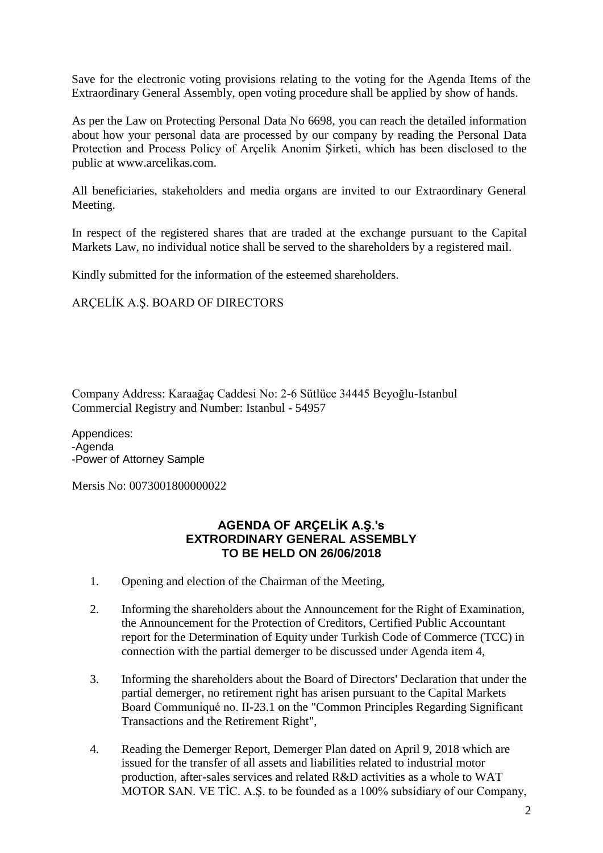Save for the electronic voting provisions relating to the voting for the Agenda Items of the Extraordinary General Assembly, open voting procedure shall be applied by show of hands.

As per the Law on Protecting Personal Data No 6698, you can reach the detailed information about how your personal data are processed by our company by reading the Personal Data Protection and Process Policy of Arçelik Anonim Şirketi, which has been disclosed to the public at [www.arcelikas.com.](http://www.arcelikas.com/)

All beneficiaries, stakeholders and media organs are invited to our Extraordinary General Meeting.

In respect of the registered shares that are traded at the exchange pursuant to the Capital Markets Law, no individual notice shall be served to the shareholders by a registered mail.

Kindly submitted for the information of the esteemed shareholders.

ARÇELİK A.Ş. BOARD OF DIRECTORS

Company Address: Karaağaç Caddesi No: 2-6 Sütlüce 34445 Beyoğlu-Istanbul Commercial Registry and Number: Istanbul - 54957

Appendices: -Agenda -Power of Attorney Sample

Mersis No: 0073001800000022

### **AGENDA OF ARÇELİK A.Ş.'s EXTRORDINARY GENERAL ASSEMBLY TO BE HELD ON 26/06/2018**

- 1. Opening and election of the Chairman of the Meeting,
- 2. Informing the shareholders about the Announcement for the Right of Examination, the Announcement for the Protection of Creditors, Certified Public Accountant report for the Determination of Equity under Turkish Code of Commerce (TCC) in connection with the partial demerger to be discussed under Agenda item 4,
- 3. Informing the shareholders about the Board of Directors' Declaration that under the partial demerger, no retirement right has arisen pursuant to the Capital Markets Board Communiqué no. II-23.1 on the "Common Principles Regarding Significant Transactions and the Retirement Right",
- 4. Reading the Demerger Report, Demerger Plan dated on April 9, 2018 which are issued for the transfer of all assets and liabilities related to industrial motor production, after-sales services and related R&D activities as a whole to WAT MOTOR SAN. VE TİC. A.Ş. to be founded as a 100% subsidiary of our Company,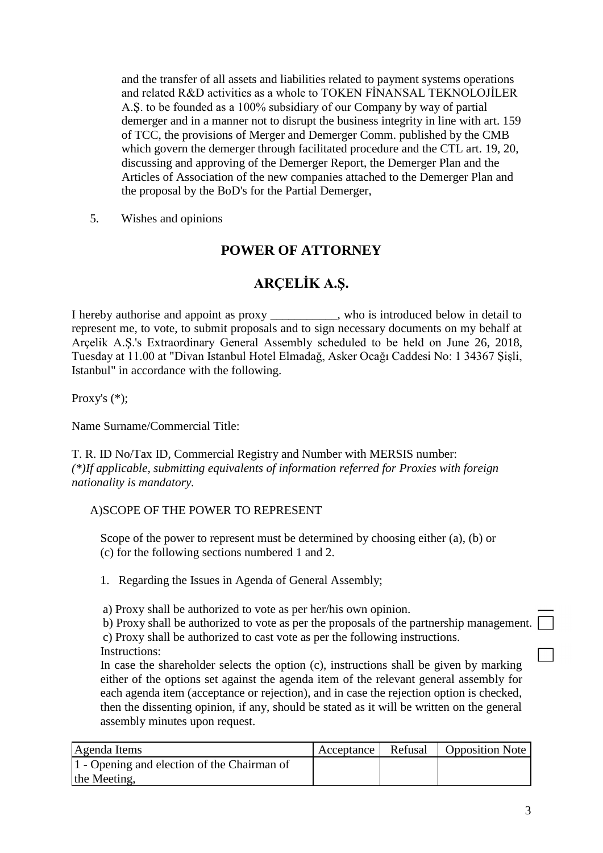and the transfer of all assets and liabilities related to payment systems operations and related R&D activities as a whole to TOKEN FİNANSAL TEKNOLOJİLER A.Ş. to be founded as a 100% subsidiary of our Company by way of partial demerger and in a manner not to disrupt the business integrity in line with art. 159 of TCC, the provisions of Merger and Demerger Comm. published by the CMB which govern the demerger through facilitated procedure and the CTL art. 19, 20, discussing and approving of the Demerger Report, the Demerger Plan and the Articles of Association of the new companies attached to the Demerger Plan and the proposal by the BoD's for the Partial Demerger,

5. Wishes and opinions

## **POWER OF ATTORNEY**

# **ARÇELİK A.Ş.**

I hereby authorise and appoint as proxy such as who is introduced below in detail to represent me, to vote, to submit proposals and to sign necessary documents on my behalf at Arçelik A.Ş.'s Extraordinary General Assembly scheduled to be held on June 26, 2018, Tuesday at 11.00 at "Divan Istanbul Hotel Elmadağ, Asker Ocağı Caddesi No: 1 34367 Şişli, Istanbul" in accordance with the following.

Proxy's (\*);

Name Surname/Commercial Title:

T. R. ID No/Tax ID, Commercial Registry and Number with MERSIS number: *(\*)If applicable, submitting equivalents of information referred for Proxies with foreign nationality is mandatory.*

### A)SCOPE OF THE POWER TO REPRESENT

Scope of the power to represent must be determined by choosing either (a), (b) or (c) for the following sections numbered 1 and 2.

1. Regarding the Issues in Agenda of General Assembly;

a) Proxy shall be authorized to vote as per her/his own opinion.

b) Proxy shall be authorized to vote as per the proposals of the partnership management. c) Proxy shall be authorized to cast vote as per the following instructions.

Instructions:

In case the shareholder selects the option (c), instructions shall be given by marking either of the options set against the agenda item of the relevant general assembly for each agenda item (acceptance or rejection), and in case the rejection option is checked, then the dissenting opinion, if any, should be stated as it will be written on the general assembly minutes upon request.

| Agenda Items                                | Acceptance Refusal | <b>Opposition Note</b> |
|---------------------------------------------|--------------------|------------------------|
| 1 - Opening and election of the Chairman of |                    |                        |
| the Meeting,                                |                    |                        |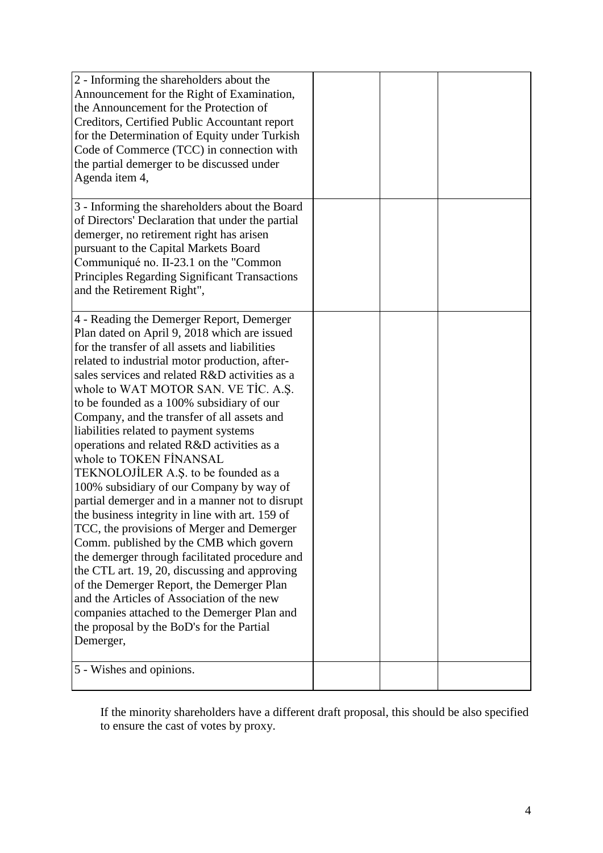| 2 - Informing the shareholders about the<br>Announcement for the Right of Examination,<br>the Announcement for the Protection of<br>Creditors, Certified Public Accountant report<br>for the Determination of Equity under Turkish<br>Code of Commerce (TCC) in connection with<br>the partial demerger to be discussed under<br>Agenda item 4,                                                                                                                                                                                                                                                                                                                                                                                                                                                                                                                                                                                                                                                                                                                                                  |  |  |
|--------------------------------------------------------------------------------------------------------------------------------------------------------------------------------------------------------------------------------------------------------------------------------------------------------------------------------------------------------------------------------------------------------------------------------------------------------------------------------------------------------------------------------------------------------------------------------------------------------------------------------------------------------------------------------------------------------------------------------------------------------------------------------------------------------------------------------------------------------------------------------------------------------------------------------------------------------------------------------------------------------------------------------------------------------------------------------------------------|--|--|
| 3 - Informing the shareholders about the Board<br>of Directors' Declaration that under the partial<br>demerger, no retirement right has arisen<br>pursuant to the Capital Markets Board<br>Communiqué no. II-23.1 on the "Common"<br><b>Principles Regarding Significant Transactions</b><br>and the Retirement Right",                                                                                                                                                                                                                                                                                                                                                                                                                                                                                                                                                                                                                                                                                                                                                                          |  |  |
| 4 - Reading the Demerger Report, Demerger<br>Plan dated on April 9, 2018 which are issued<br>for the transfer of all assets and liabilities<br>related to industrial motor production, after-<br>sales services and related R&D activities as a<br>whole to WAT MOTOR SAN. VE TIC. A.S.<br>to be founded as a 100% subsidiary of our<br>Company, and the transfer of all assets and<br>liabilities related to payment systems<br>operations and related R&D activities as a<br>whole to TOKEN FINANSAL<br>TEKNOLOJİLER A.Ş. to be founded as a<br>100% subsidiary of our Company by way of<br>partial demerger and in a manner not to disrupt<br>the business integrity in line with art. 159 of<br>TCC, the provisions of Merger and Demerger<br>Comm. published by the CMB which govern<br>the demerger through facilitated procedure and<br>the CTL art. 19, 20, discussing and approving<br>of the Demerger Report, the Demerger Plan<br>and the Articles of Association of the new<br>companies attached to the Demerger Plan and<br>the proposal by the BoD's for the Partial<br>Demerger, |  |  |
| 5 - Wishes and opinions.                                                                                                                                                                                                                                                                                                                                                                                                                                                                                                                                                                                                                                                                                                                                                                                                                                                                                                                                                                                                                                                                         |  |  |

If the minority shareholders have a different draft proposal, this should be also specified to ensure the cast of votes by proxy.